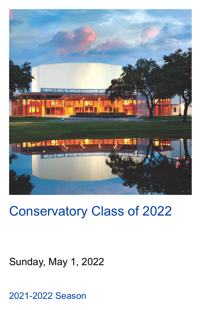

# Conservatory Class of 2022

# Sunday, May 1, 2022

2021-2022 Season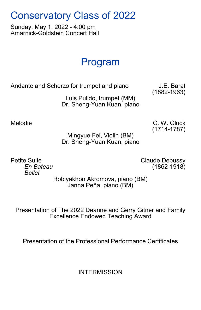# Conservatory Class of 2022

Sunday, May 1, 2022 - 4:00 pm Amarnick-Goldstein Concert Hall

# Program

Andante and Scherzo for trumpet and piano J.E. Barat

(1882-1963) Luis Pulido, trumpet (MM) Dr. Sheng-Yuan Kuan, piano

Melodie C. W. Gluck (1714-1787)

Mingyue Fei, Violin (BM) Dr. Sheng-Yuan Kuan, piano

*Ballet*

Petite Suite **Claude Debussy** *En Bateau* (1862-1918)

> Robiyakhon Akromova, piano (BM) Janna Peña, piano (BM)

Presentation of The 2022 Deanne and Gerry Gitner and Family Excellence Endowed Teaching Award

Presentation of the Professional Performance Certificates

**INTERMISSION**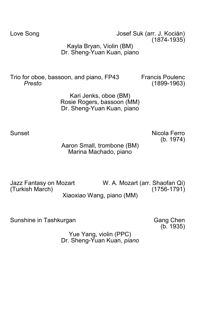Love Song **Internal Contract Contract Contract Contract Contract Contract Contract Contract Contract Contract Contract Contract Contract Contract Contract Contract Contract Contract Contract Contract Contract Contract Cont** (1874-1935)

> Kayla Bryan, Violin (BM) Dr. Sheng-Yuan Kuan, piano

Trio for oboe, bassoon, and piano, FP43 Francis Poulenc *Presto* (1899-1963)

Kari Jenks, oboe (BM) Rosie Rogers, bassoon (MM) Dr. Sheng-Yuan Kuan, piano

Sunset Nicola Ferro (b. 1974)

Aaron Small, trombone (BM) Marina Machado, piano

Jazz Fantasy on Mozart W. A. Mozart (arr. Shaofan Qi) (Turkish March) Xiaoxiao Wang, piano (MM)

Sunshine in Tashkurgan Gang Chen

(b. 1935)

Yue Yang, violin (PPC) Dr. Sheng-Yuan Kuan, *piano*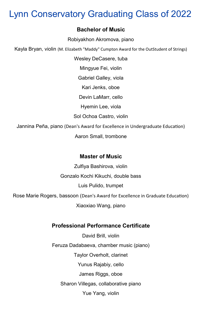# Lynn Conservatory Graduating Class of 2022

#### **Bachelor of Music**

Robiyakhon Akromova, piano

Kayla Bryan, violin (M. Elizabeth "Maddy" Cumpton Award for the OutStudent of Strings)

Wesley DeCasere, tuba

Mingyue Fei, violin

Gabriel Galley, viola

Kari Jenks, oboe

Devin LaMarr, cello

Hyemin Lee, viola

Sol Ochoa Castro, violin

Jannina Peña, piano (Dean's Award for Excellence in Undergraduate Education)

Aaron Small, trombone

#### **Master of Music**

Zulfiya Bashirova, violin

Gonzalo Kochi Kikuchi, double bass

Luis Pulido, trumpet

Rose Marie Rogers, bassoon (Dean's Award for Excellence in Graduate Education)

Xiaoxiao Wang, piano

#### **Professional Performance Certificate**

David Brill, violin Feruza Dadabaeva, chamber music (piano) Taylor Overholt, clarinet Yunus Rajabiy, cello James Riggs, oboe Sharon Villegas, collaborative piano

Yue Yang, violin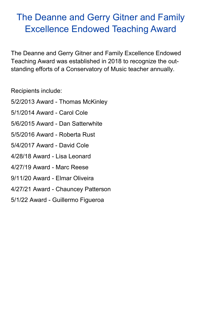# The Deanne and Gerry Gitner and Family Excellence Endowed Teaching Award

The Deanne and Gerry Gitner and Family Excellence Endowed Teaching Award was established in 2018 to recognize the outstanding efforts of a Conservatory of Music teacher annually.

Recipients include:

- 5/2/2013 Award Thomas McKinley
- 5/1/2014 Award Carol Cole
- 5/6/2015 Award Dan Satterwhite
- 5/5/2016 Award Roberta Rust
- 5/4/2017 Award David Cole
- 4/28/18 Award Lisa Leonard
- 4/27/19 Award Marc Reese
- 9/11/20 Award Elmar Oliveira
- 4/27/21 Award Chauncey Patterson
- 5/1/22 Award Guillermo Figueroa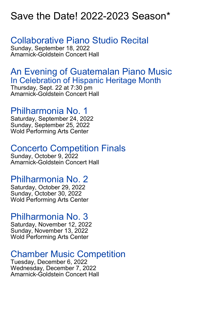# Save the Date! 2022-2023 Season\*

## Collaborative Piano Studio Recital

Sunday, September 18, 2022 Amarnick-Goldstein Concert Hall

#### An Evening of Guatemalan Piano Music In Celebration of Hispanic Heritage Month

Thursday, Sept. 22 at 7:30 pm Amarnick-Goldstein Concert Hall

### Philharmonia No. 1

Saturday, September 24, 2022 Sunday, September 25, 2022 Wold Performing Arts Center

### Concerto Competition Finals

Sunday, October 9, 2022 Amarnick-Goldstein Concert Hall

### Philharmonia No. 2

Saturday, October 29, 2022 Sunday, October 30, 2022 Wold Performing Arts Center

### Philharmonia No. 3

Saturday, November 12, 2022 Sunday, November 13, 2022 Wold Performing Arts Center

### Chamber Music Competition

Tuesday, December 6, 2022 Wednesday, December 7, 2022 Amarnick-Goldstein Concert Hall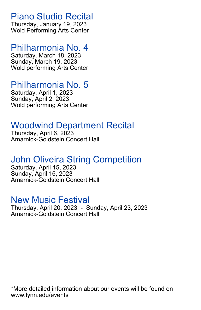Piano Studio Recital

Thursday, January 19, 2023 Wold Performing Arts Center

#### Philharmonia No. 4

Saturday, March 18, 2023 Sunday, March 19, 2023 Wold performing Arts Center

### Philharmonia No. 5

Saturday, April 1, 2023 Sunday, April 2, 2023 Wold performing Arts Center

## Woodwind Department Recital

Thursday, April 6, 2023 Amarnick-Goldstein Concert Hall

## John Oliveira String Competition

Saturday, April 15, 2023 Sunday, April 16, 2023 Amarnick-Goldstein Concert Hall

#### New Music Festival

Thursday, April 20, 2023 - Sunday, April 23, 2023 Amarnick-Goldstein Concert Hall

\*More detailed information about our events will be found on www.lynn.edu/events